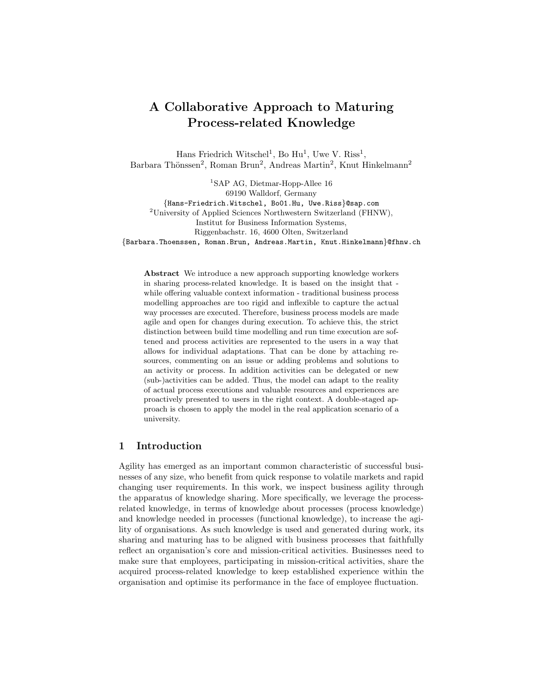# A Collaborative Approach to Maturing Process-related Knowledge

Hans Friedrich Witschel<sup>1</sup>, Bo Hu<sup>1</sup>, Uwe V. Riss<sup>1</sup>, Barbara Thönssen<sup>2</sup>, Roman Brun<sup>2</sup>, Andreas Martin<sup>2</sup>, Knut Hinkelmann<sup>2</sup>

<sup>1</sup>SAP AG, Dietmar-Hopp-Allee 16 69190 Walldorf, Germany {Hans-Friedrich.Witschel, Bo01.Hu, Uwe.Riss}@sap.com <sup>2</sup>University of Applied Sciences Northwestern Switzerland (FHNW), Institut for Business Information Systems, Riggenbachstr. 16, 4600 Olten, Switzerland {Barbara.Thoenssen, Roman.Brun, Andreas.Martin, Knut.Hinkelmann}@fhnw.ch

Abstract We introduce a new approach supporting knowledge workers in sharing process-related knowledge. It is based on the insight that while offering valuable context information - traditional business process modelling approaches are too rigid and inflexible to capture the actual way processes are executed. Therefore, business process models are made agile and open for changes during execution. To achieve this, the strict distinction between build time modelling and run time execution are softened and process activities are represented to the users in a way that allows for individual adaptations. That can be done by attaching resources, commenting on an issue or adding problems and solutions to an activity or process. In addition activities can be delegated or new (sub-)activities can be added. Thus, the model can adapt to the reality of actual process executions and valuable resources and experiences are proactively presented to users in the right context. A double-staged approach is chosen to apply the model in the real application scenario of a university.

# 1 Introduction

Agility has emerged as an important common characteristic of successful businesses of any size, who benefit from quick response to volatile markets and rapid changing user requirements. In this work, we inspect business agility through the apparatus of knowledge sharing. More specifically, we leverage the processrelated knowledge, in terms of knowledge about processes (process knowledge) and knowledge needed in processes (functional knowledge), to increase the agility of organisations. As such knowledge is used and generated during work, its sharing and maturing has to be aligned with business processes that faithfully reflect an organisation's core and mission-critical activities. Businesses need to make sure that employees, participating in mission-critical activities, share the acquired process-related knowledge to keep established experience within the organisation and optimise its performance in the face of employee fluctuation.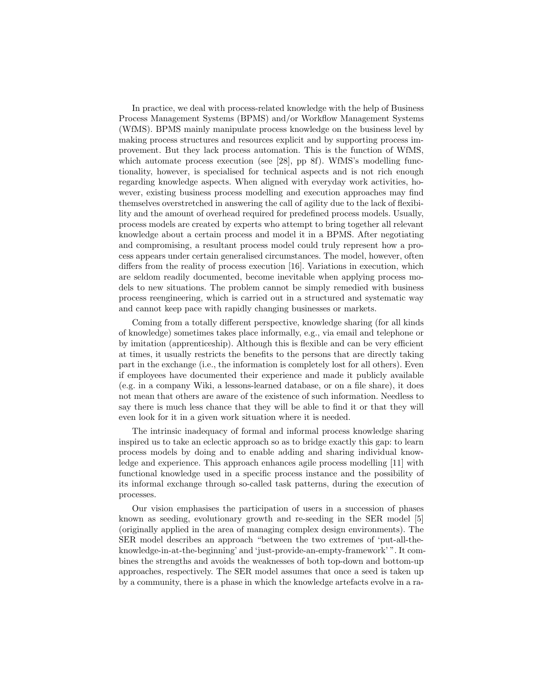In practice, we deal with process-related knowledge with the help of Business Process Management Systems (BPMS) and/or Workflow Management Systems (WfMS). BPMS mainly manipulate process knowledge on the business level by making process structures and resources explicit and by supporting process improvement. But they lack process automation. This is the function of WfMS, which automate process execution (see [28], pp 8f). WfMS's modelling functionality, however, is specialised for technical aspects and is not rich enough regarding knowledge aspects. When aligned with everyday work activities, however, existing business process modelling and execution approaches may find themselves overstretched in answering the call of agility due to the lack of flexibility and the amount of overhead required for predefined process models. Usually, process models are created by experts who attempt to bring together all relevant knowledge about a certain process and model it in a BPMS. After negotiating and compromising, a resultant process model could truly represent how a process appears under certain generalised circumstances. The model, however, often differs from the reality of process execution [16]. Variations in execution, which are seldom readily documented, become inevitable when applying process models to new situations. The problem cannot be simply remedied with business process reengineering, which is carried out in a structured and systematic way and cannot keep pace with rapidly changing businesses or markets.

Coming from a totally different perspective, knowledge sharing (for all kinds of knowledge) sometimes takes place informally, e.g., via email and telephone or by imitation (apprenticeship). Although this is flexible and can be very efficient at times, it usually restricts the benefits to the persons that are directly taking part in the exchange (i.e., the information is completely lost for all others). Even if employees have documented their experience and made it publicly available (e.g. in a company Wiki, a lessons-learned database, or on a file share), it does not mean that others are aware of the existence of such information. Needless to say there is much less chance that they will be able to find it or that they will even look for it in a given work situation where it is needed.

The intrinsic inadequacy of formal and informal process knowledge sharing inspired us to take an eclectic approach so as to bridge exactly this gap: to learn process models by doing and to enable adding and sharing individual knowledge and experience. This approach enhances agile process modelling [11] with functional knowledge used in a specific process instance and the possibility of its informal exchange through so-called task patterns, during the execution of processes.

Our vision emphasises the participation of users in a succession of phases known as seeding, evolutionary growth and re-seeding in the SER model [5] (originally applied in the area of managing complex design environments). The SER model describes an approach "between the two extremes of 'put-all-theknowledge-in-at-the-beginning' and 'just-provide-an-empty-framework' ". It combines the strengths and avoids the weaknesses of both top-down and bottom-up approaches, respectively. The SER model assumes that once a seed is taken up by a community, there is a phase in which the knowledge artefacts evolve in a ra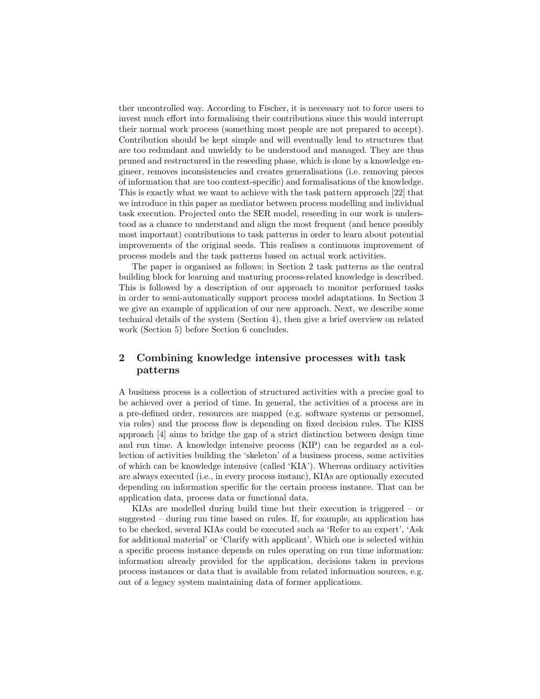ther uncontrolled way. According to Fischer, it is necessary not to force users to invest much effort into formalising their contributions since this would interrupt their normal work process (something most people are not prepared to accept). Contribution should be kept simple and will eventually lead to structures that are too redundant and unwieldy to be understood and managed. They are thus pruned and restructured in the reseeding phase, which is done by a knowledge engineer, removes inconsistencies and creates generalisations (i.e. removing pieces of information that are too context-specific) and formalisations of the knowledge. This is exactly what we want to achieve with the task pattern approach [22] that we introduce in this paper as mediator between process modelling and individual task execution. Projected onto the SER model, reseeding in our work is understood as a chance to understand and align the most frequent (and hence possibly most important) contributions to task patterns in order to learn about potential improvements of the original seeds. This realises a continuous improvement of process models and the task patterns based on actual work activities.

The paper is organised as follows: in Section 2 task patterns as the central building block for learning and maturing process-related knowledge is described. This is followed by a description of our approach to monitor performed tasks in order to semi-automatically support process model adaptations. In Section 3 we give an example of application of our new approach. Next, we describe some technical details of the system (Section 4), then give a brief overview on related work (Section 5) before Section 6 concludes.

# 2 Combining knowledge intensive processes with task patterns

A business process is a collection of structured activities with a precise goal to be achieved over a period of time. In general, the activities of a process are in a pre-defined order, resources are mapped (e.g. software systems or personnel, via roles) and the process flow is depending on fixed decision rules. The KISS approach [4] aims to bridge the gap of a strict distinction between design time and run time. A knowledge intensive process (KIP) can be regarded as a collection of activities building the 'skeleton' of a business process, some activities of which can be knowledge intensive (called 'KIA'). Whereas ordinary activities are always executed (i.e., in every process instanc), KIAs are optionally executed depending on information specific for the certain process instance. That can be application data, process data or functional data.

KIAs are modelled during build time but their execution is triggered – or suggested – during run time based on rules. If, for example, an application has to be checked, several KIAs could be executed such as 'Refer to an expert', 'Ask for additional material' or 'Clarify with applicant'. Which one is selected within a specific process instance depends on rules operating on run time information: information already provided for the application, decisions taken in previous process instances or data that is available from related information sources, e.g. out of a legacy system maintaining data of former applications.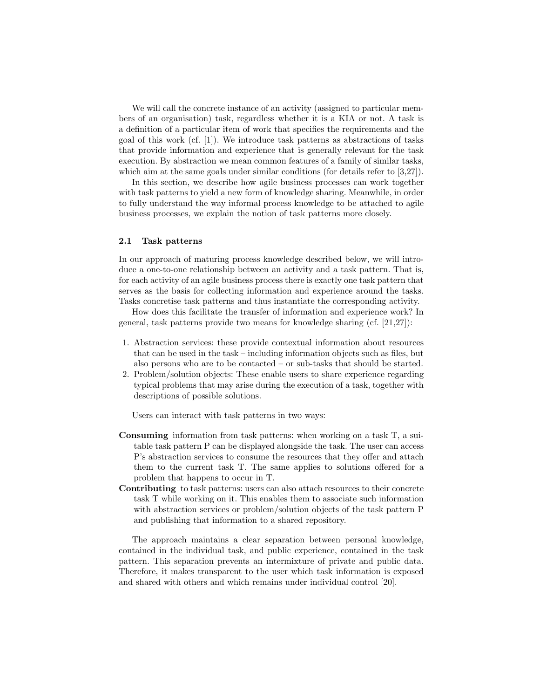We will call the concrete instance of an activity (assigned to particular members of an organisation) task, regardless whether it is a KIA or not. A task is a definition of a particular item of work that specifies the requirements and the goal of this work (cf. [1]). We introduce task patterns as abstractions of tasks that provide information and experience that is generally relevant for the task execution. By abstraction we mean common features of a family of similar tasks, which aim at the same goals under similar conditions (for details refer to [3,27]).

In this section, we describe how agile business processes can work together with task patterns to yield a new form of knowledge sharing. Meanwhile, in order to fully understand the way informal process knowledge to be attached to agile business processes, we explain the notion of task patterns more closely.

#### 2.1 Task patterns

In our approach of maturing process knowledge described below, we will introduce a one-to-one relationship between an activity and a task pattern. That is, for each activity of an agile business process there is exactly one task pattern that serves as the basis for collecting information and experience around the tasks. Tasks concretise task patterns and thus instantiate the corresponding activity.

How does this facilitate the transfer of information and experience work? In general, task patterns provide two means for knowledge sharing (cf. [21,27]):

- 1. Abstraction services: these provide contextual information about resources that can be used in the task – including information objects such as files, but also persons who are to be contacted – or sub-tasks that should be started.
- 2. Problem/solution objects: These enable users to share experience regarding typical problems that may arise during the execution of a task, together with descriptions of possible solutions.

Users can interact with task patterns in two ways:

- Consuming information from task patterns: when working on a task T, a suitable task pattern P can be displayed alongside the task. The user can access P's abstraction services to consume the resources that they offer and attach them to the current task T. The same applies to solutions offered for a problem that happens to occur in T.
- Contributing to task patterns: users can also attach resources to their concrete task T while working on it. This enables them to associate such information with abstraction services or problem/solution objects of the task pattern P and publishing that information to a shared repository.

The approach maintains a clear separation between personal knowledge, contained in the individual task, and public experience, contained in the task pattern. This separation prevents an intermixture of private and public data. Therefore, it makes transparent to the user which task information is exposed and shared with others and which remains under individual control [20].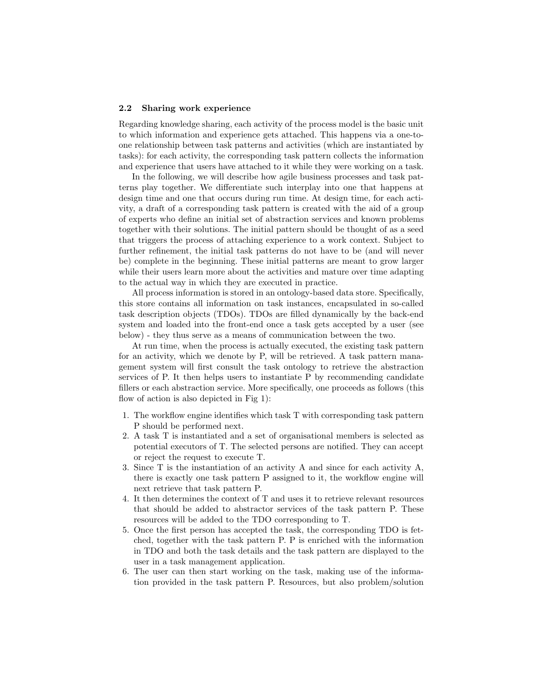#### 2.2 Sharing work experience

Regarding knowledge sharing, each activity of the process model is the basic unit to which information and experience gets attached. This happens via a one-toone relationship between task patterns and activities (which are instantiated by tasks): for each activity, the corresponding task pattern collects the information and experience that users have attached to it while they were working on a task.

In the following, we will describe how agile business processes and task patterns play together. We differentiate such interplay into one that happens at design time and one that occurs during run time. At design time, for each activity, a draft of a corresponding task pattern is created with the aid of a group of experts who define an initial set of abstraction services and known problems together with their solutions. The initial pattern should be thought of as a seed that triggers the process of attaching experience to a work context. Subject to further refinement, the initial task patterns do not have to be (and will never be) complete in the beginning. These initial patterns are meant to grow larger while their users learn more about the activities and mature over time adapting to the actual way in which they are executed in practice.

All process information is stored in an ontology-based data store. Specifically, this store contains all information on task instances, encapsulated in so-called task description objects (TDOs). TDOs are filled dynamically by the back-end system and loaded into the front-end once a task gets accepted by a user (see below) - they thus serve as a means of communication between the two.

At run time, when the process is actually executed, the existing task pattern for an activity, which we denote by P, will be retrieved. A task pattern management system will first consult the task ontology to retrieve the abstraction services of P. It then helps users to instantiate P by recommending candidate fillers or each abstraction service. More specifically, one proceeds as follows (this flow of action is also depicted in Fig 1):

- 1. The workflow engine identifies which task T with corresponding task pattern P should be performed next.
- 2. A task T is instantiated and a set of organisational members is selected as potential executors of T. The selected persons are notified. They can accept or reject the request to execute T.
- 3. Since T is the instantiation of an activity A and since for each activity A, there is exactly one task pattern P assigned to it, the workflow engine will next retrieve that task pattern P.
- 4. It then determines the context of T and uses it to retrieve relevant resources that should be added to abstractor services of the task pattern P. These resources will be added to the TDO corresponding to T.
- 5. Once the first person has accepted the task, the corresponding TDO is fetched, together with the task pattern P. P is enriched with the information in TDO and both the task details and the task pattern are displayed to the user in a task management application.
- 6. The user can then start working on the task, making use of the information provided in the task pattern P. Resources, but also problem/solution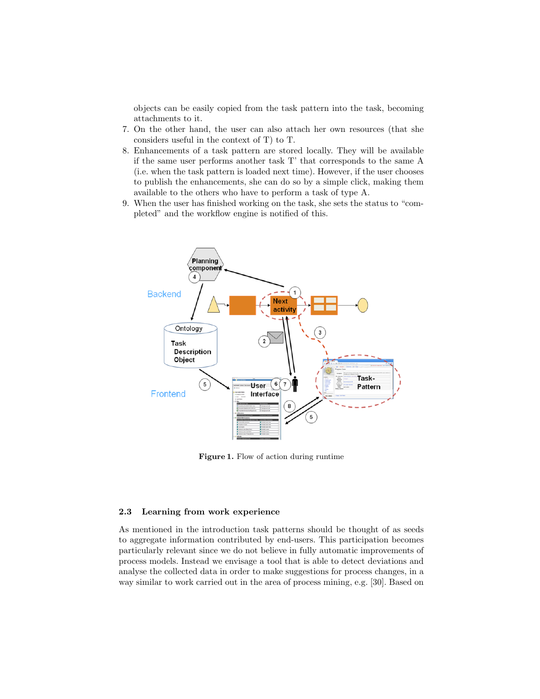objects can be easily copied from the task pattern into the task, becoming attachments to it.

- 7. On the other hand, the user can also attach her own resources (that she considers useful in the context of T) to T.
- 8. Enhancements of a task pattern are stored locally. They will be available if the same user performs another task T' that corresponds to the same A (i.e. when the task pattern is loaded next time). However, if the user chooses to publish the enhancements, she can do so by a simple click, making them available to the others who have to perform a task of type A.
- 9. When the user has finished working on the task, she sets the status to "completed" and the workflow engine is notified of this.



Figure 1. Flow of action during runtime

#### 2.3 Learning from work experience

As mentioned in the introduction task patterns should be thought of as seeds to aggregate information contributed by end-users. This participation becomes particularly relevant since we do not believe in fully automatic improvements of process models. Instead we envisage a tool that is able to detect deviations and analyse the collected data in order to make suggestions for process changes, in a way similar to work carried out in the area of process mining, e.g. [30]. Based on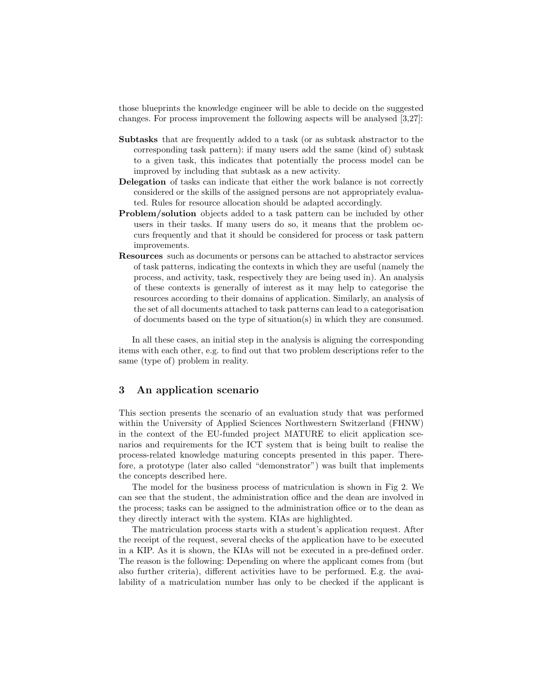those blueprints the knowledge engineer will be able to decide on the suggested changes. For process improvement the following aspects will be analysed [3,27]:

- Subtasks that are frequently added to a task (or as subtask abstractor to the corresponding task pattern): if many users add the same (kind of) subtask to a given task, this indicates that potentially the process model can be improved by including that subtask as a new activity.
- Delegation of tasks can indicate that either the work balance is not correctly considered or the skills of the assigned persons are not appropriately evaluated. Rules for resource allocation should be adapted accordingly.
- Problem/solution objects added to a task pattern can be included by other users in their tasks. If many users do so, it means that the problem occurs frequently and that it should be considered for process or task pattern improvements.
- Resources such as documents or persons can be attached to abstractor services of task patterns, indicating the contexts in which they are useful (namely the process, and activity, task, respectively they are being used in). An analysis of these contexts is generally of interest as it may help to categorise the resources according to their domains of application. Similarly, an analysis of the set of all documents attached to task patterns can lead to a categorisation of documents based on the type of situation(s) in which they are consumed.

In all these cases, an initial step in the analysis is aligning the corresponding items with each other, e.g. to find out that two problem descriptions refer to the same (type of) problem in reality.

### 3 An application scenario

This section presents the scenario of an evaluation study that was performed within the University of Applied Sciences Northwestern Switzerland (FHNW) in the context of the EU-funded project MATURE to elicit application scenarios and requirements for the ICT system that is being built to realise the process-related knowledge maturing concepts presented in this paper. Therefore, a prototype (later also called "demonstrator") was built that implements the concepts described here.

The model for the business process of matriculation is shown in Fig 2. We can see that the student, the administration office and the dean are involved in the process; tasks can be assigned to the administration office or to the dean as they directly interact with the system. KIAs are highlighted.

The matriculation process starts with a student's application request. After the receipt of the request, several checks of the application have to be executed in a KIP. As it is shown, the KIAs will not be executed in a pre-defined order. The reason is the following: Depending on where the applicant comes from (but also further criteria), different activities have to be performed. E.g. the availability of a matriculation number has only to be checked if the applicant is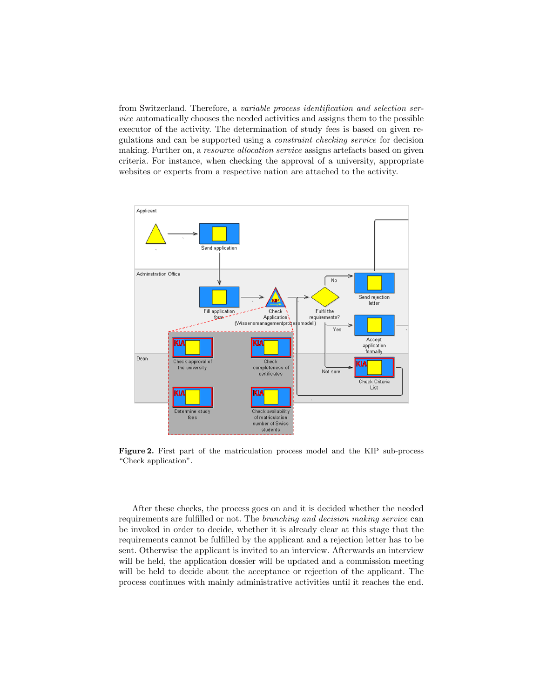from Switzerland. Therefore, a variable process identification and selection service automatically chooses the needed activities and assigns them to the possible executor of the activity. The determination of study fees is based on given regulations and can be supported using a constraint checking service for decision making. Further on, a *resource allocation service* assigns artefacts based on given criteria. For instance, when checking the approval of a university, appropriate websites or experts from a respective nation are attached to the activity.



Figure 2. First part of the matriculation process model and the KIP sub-process "Check application".

After these checks, the process goes on and it is decided whether the needed requirements are fulfilled or not. The branching and decision making service can be invoked in order to decide, whether it is already clear at this stage that the requirements cannot be fulfilled by the applicant and a rejection letter has to be sent. Otherwise the applicant is invited to an interview. Afterwards an interview will be held, the application dossier will be updated and a commission meeting will be held to decide about the acceptance or rejection of the applicant. The process continues with mainly administrative activities until it reaches the end.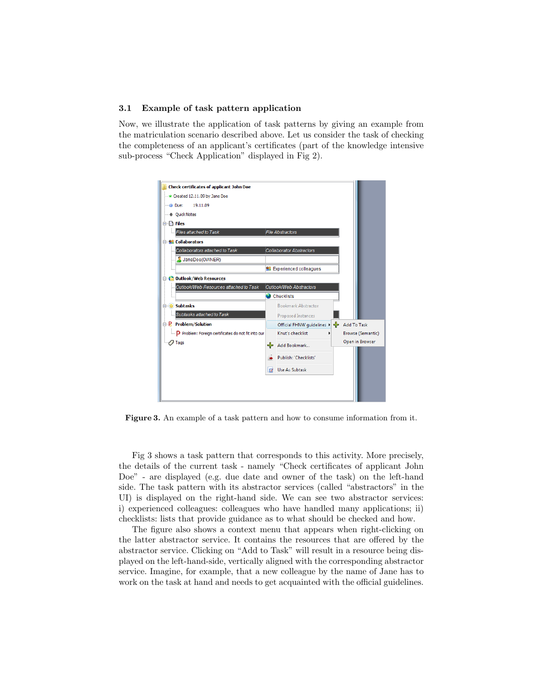#### 3.1 Example of task pattern application

Now, we illustrate the application of task patterns by giving an example from the matriculation scenario described above. Let us consider the task of checking the completeness of an applicant's certificates (part of the knowledge intensive sub-process "Check Application" displayed in Fig 2).



Figure 3. An example of a task pattern and how to consume information from it.

Fig 3 shows a task pattern that corresponds to this activity. More precisely, the details of the current task - namely "Check certificates of applicant John Doe" - are displayed (e.g. due date and owner of the task) on the left-hand side. The task pattern with its abstractor services (called "abstractors" in the UI) is displayed on the right-hand side. We can see two abstractor services: i) experienced colleagues: colleagues who have handled many applications; ii) checklists: lists that provide guidance as to what should be checked and how.

The figure also shows a context menu that appears when right-clicking on the latter abstractor service. It contains the resources that are offered by the abstractor service. Clicking on "Add to Task" will result in a resource being displayed on the left-hand-side, vertically aligned with the corresponding abstractor service. Imagine, for example, that a new colleague by the name of Jane has to work on the task at hand and needs to get acquainted with the official guidelines.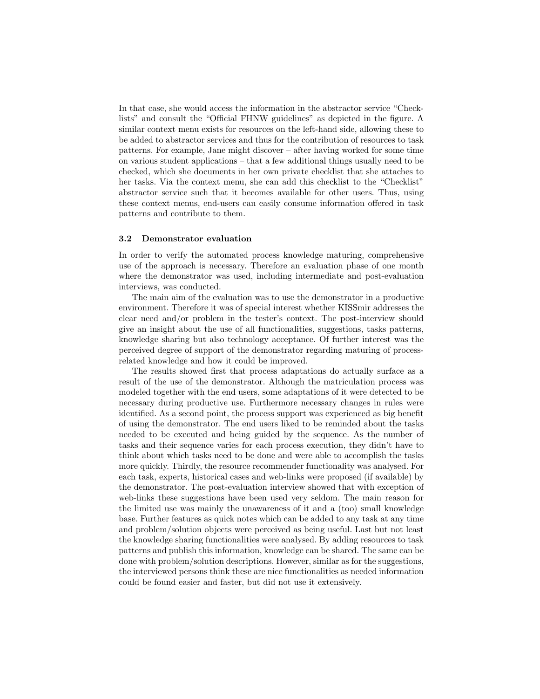In that case, she would access the information in the abstractor service "Checklists" and consult the "Official FHNW guidelines" as depicted in the figure. A similar context menu exists for resources on the left-hand side, allowing these to be added to abstractor services and thus for the contribution of resources to task patterns. For example, Jane might discover – after having worked for some time on various student applications – that a few additional things usually need to be checked, which she documents in her own private checklist that she attaches to her tasks. Via the context menu, she can add this checklist to the "Checklist" abstractor service such that it becomes available for other users. Thus, using these context menus, end-users can easily consume information offered in task patterns and contribute to them.

#### 3.2 Demonstrator evaluation

In order to verify the automated process knowledge maturing, comprehensive use of the approach is necessary. Therefore an evaluation phase of one month where the demonstrator was used, including intermediate and post-evaluation interviews, was conducted.

The main aim of the evaluation was to use the demonstrator in a productive environment. Therefore it was of special interest whether KISSmir addresses the clear need and/or problem in the tester's context. The post-interview should give an insight about the use of all functionalities, suggestions, tasks patterns, knowledge sharing but also technology acceptance. Of further interest was the perceived degree of support of the demonstrator regarding maturing of processrelated knowledge and how it could be improved.

The results showed first that process adaptations do actually surface as a result of the use of the demonstrator. Although the matriculation process was modeled together with the end users, some adaptations of it were detected to be necessary during productive use. Furthermore necessary changes in rules were identified. As a second point, the process support was experienced as big benefit of using the demonstrator. The end users liked to be reminded about the tasks needed to be executed and being guided by the sequence. As the number of tasks and their sequence varies for each process execution, they didn't have to think about which tasks need to be done and were able to accomplish the tasks more quickly. Thirdly, the resource recommender functionality was analysed. For each task, experts, historical cases and web-links were proposed (if available) by the demonstrator. The post-evaluation interview showed that with exception of web-links these suggestions have been used very seldom. The main reason for the limited use was mainly the unawareness of it and a (too) small knowledge base. Further features as quick notes which can be added to any task at any time and problem/solution objects were perceived as being useful. Last but not least the knowledge sharing functionalities were analysed. By adding resources to task patterns and publish this information, knowledge can be shared. The same can be done with problem/solution descriptions. However, similar as for the suggestions, the interviewed persons think these are nice functionalities as needed information could be found easier and faster, but did not use it extensively.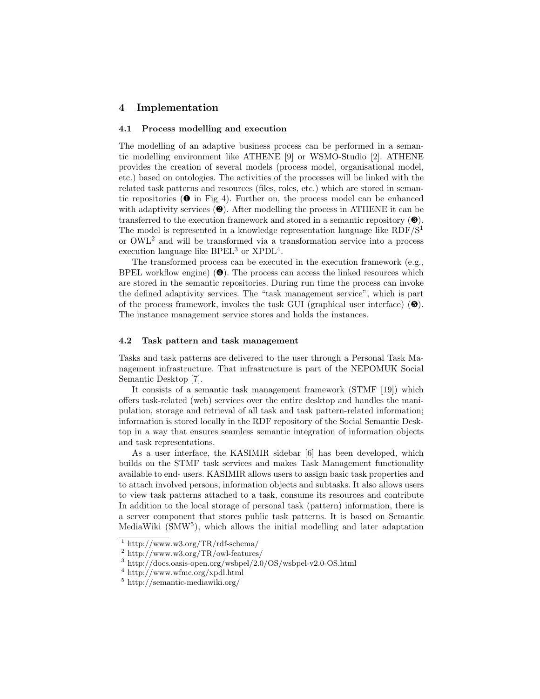## 4 Implementation

#### 4.1 Process modelling and execution

The modelling of an adaptive business process can be performed in a semantic modelling environment like ATHENE [9] or WSMO-Studio [2]. ATHENE provides the creation of several models (process model, organisational model, etc.) based on ontologies. The activities of the processes will be linked with the related task patterns and resources (files, roles, etc.) which are stored in semantic repositories  $(\mathbf{0}$  in Fig 4). Further on, the process model can be enhanced with adaptivity services  $(\circledast)$ . After modelling the process in ATHENE it can be transferred to the execution framework and stored in a semantic repository  $(\mathbf{\Theta})$ . The model is represented in a knowledge representation language like  $RDF/S<sup>1</sup>$ or OWL<sup>2</sup> and will be transformed via a transformation service into a process execution language like  $BPEL<sup>3</sup>$  or  $XPDL<sup>4</sup>$ .

The transformed process can be executed in the execution framework (e.g., BPEL workflow engine)  $(\mathbf{\Theta})$ . The process can access the linked resources which are stored in the semantic repositories. During run time the process can invoke the defined adaptivity services. The "task management service", which is part of the process framework, invokes the task GUI (graphical user interface)  $(\mathbf{\Theta})$ . The instance management service stores and holds the instances.

### 4.2 Task pattern and task management

Tasks and task patterns are delivered to the user through a Personal Task Management infrastructure. That infrastructure is part of the NEPOMUK Social Semantic Desktop [7].

It consists of a semantic task management framework (STMF [19]) which offers task-related (web) services over the entire desktop and handles the manipulation, storage and retrieval of all task and task pattern-related information; information is stored locally in the RDF repository of the Social Semantic Desktop in a way that ensures seamless semantic integration of information objects and task representations.

As a user interface, the KASIMIR sidebar [6] has been developed, which builds on the STMF task services and makes Task Management functionality available to end- users. KASIMIR allows users to assign basic task properties and to attach involved persons, information objects and subtasks. It also allows users to view task patterns attached to a task, consume its resources and contribute In addition to the local storage of personal task (pattern) information, there is a server component that stores public task patterns. It is based on Semantic MediaWiki (SMW<sup>5</sup>), which allows the initial modelling and later adaptation

 $1 \text{ http://www.w3.org/TR/rdf-schema/}$ 

<sup>2</sup> http://www.w3.org/TR/owl-features/

<sup>3</sup> http://docs.oasis-open.org/wsbpel/2.0/OS/wsbpel-v2.0-OS.html

<sup>4</sup> http://www.wfmc.org/xpdl.html

<sup>5</sup> http://semantic-mediawiki.org/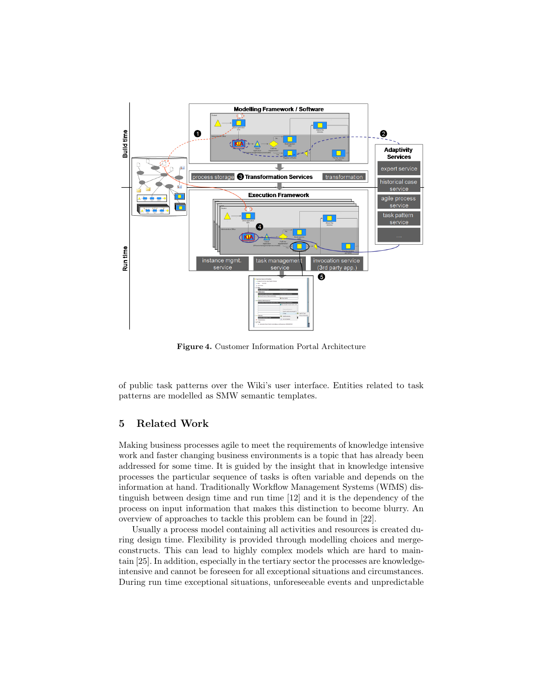

Figure 4. Customer Information Portal Architecture

of public task patterns over the Wiki's user interface. Entities related to task patterns are modelled as SMW semantic templates.

# 5 Related Work

Making business processes agile to meet the requirements of knowledge intensive work and faster changing business environments is a topic that has already been addressed for some time. It is guided by the insight that in knowledge intensive processes the particular sequence of tasks is often variable and depends on the information at hand. Traditionally Workflow Management Systems (WfMS) distinguish between design time and run time [12] and it is the dependency of the process on input information that makes this distinction to become blurry. An overview of approaches to tackle this problem can be found in [22].

Usually a process model containing all activities and resources is created during design time. Flexibility is provided through modelling choices and mergeconstructs. This can lead to highly complex models which are hard to maintain [25]. In addition, especially in the tertiary sector the processes are knowledgeintensive and cannot be foreseen for all exceptional situations and circumstances. During run time exceptional situations, unforeseeable events and unpredictable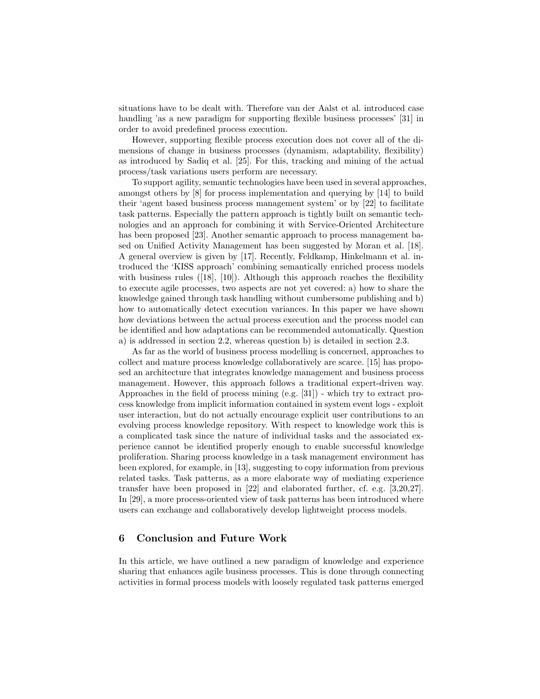situations have to be dealt with. Therefore van der Aalst et al. introduced case handling 'as a new paradigm for supporting flexible business processes' [31] in order to avoid predefined process execution.

However, supporting flexible process execution does not cover all of the dimensions of change in business processes (dynamism, adaptability, flexibility) as introduced by Sadiq et al. [25]. For this, tracking and mining of the actual process/task variations users perform are necessary.

To support agility, semantic technologies have been used in several approaches, amongst others by [8] for process implementation and querying by [14] to build their 'agent based business process management system' or by [22] to facilitate task patterns. Especially the pattern approach is tightly built on semantic technologies and an approach for combining it with Service-Oriented Architecture has been proposed [23]. Another semantic approach to process management based on Unified Activity Management has been suggested by Moran et al. [18]. A general overview is given by [17]. Recently, Feldkamp, Hinkelmann et al. introduced the 'KISS approach' combining semantically enriched process models with business rules ([18], [10]). Although this approach reaches the flexibility to execute agile processes, two aspects are not yet covered: a) how to share the knowledge gained through task handling without cumbersome publishing and b) how to automatically detect execution variances. In this paper we have shown how deviations between the actual process execution and the process model can be identified and how adaptations can be recommended automatically. Question a) is addressed in section 2.2, whereas question b) is detailed in section 2.3.

As far as the world of business process modelling is concerned, approaches to collect and mature process knowledge collaboratively are scarce. [15] has proposed an architecture that integrates knowledge management and business process management. However, this approach follows a traditional expert-driven way. Approaches in the field of process mining (e.g. [31]) - which try to extract process knowledge from implicit information contained in system event logs - exploit user interaction, but do not actually encourage explicit user contributions to an evolving process knowledge repository. With respect to knowledge work this is a complicated task since the nature of individual tasks and the associated experience cannot be identified properly enough to enable successful knowledge proliferation. Sharing process knowledge in a task management environment has been explored, for example, in [13], suggesting to copy information from previous related tasks. Task patterns, as a more elaborate way of mediating experience transfer have been proposed in [22] and elaborated further, cf. e.g. [3,20,27]. In [29], a more process-oriented view of task patterns has been introduced where users can exchange and collaboratively develop lightweight process models.

# 6 Conclusion and Future Work

In this article, we have outlined a new paradigm of knowledge and experience sharing that enhances agile business processes. This is done through connecting activities in formal process models with loosely regulated task patterns emerged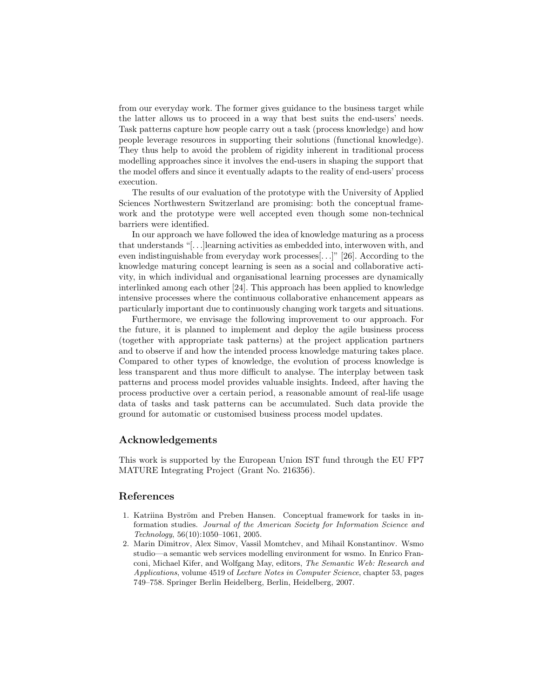from our everyday work. The former gives guidance to the business target while the latter allows us to proceed in a way that best suits the end-users' needs. Task patterns capture how people carry out a task (process knowledge) and how people leverage resources in supporting their solutions (functional knowledge). They thus help to avoid the problem of rigidity inherent in traditional process modelling approaches since it involves the end-users in shaping the support that the model offers and since it eventually adapts to the reality of end-users' process execution.

The results of our evaluation of the prototype with the University of Applied Sciences Northwestern Switzerland are promising: both the conceptual framework and the prototype were well accepted even though some non-technical barriers were identified.

In our approach we have followed the idea of knowledge maturing as a process that understands "[. . .]learning activities as embedded into, interwoven with, and even indistinguishable from everyday work processes[. . .]" [26]. According to the knowledge maturing concept learning is seen as a social and collaborative activity, in which individual and organisational learning processes are dynamically interlinked among each other [24]. This approach has been applied to knowledge intensive processes where the continuous collaborative enhancement appears as particularly important due to continuously changing work targets and situations.

Furthermore, we envisage the following improvement to our approach. For the future, it is planned to implement and deploy the agile business process (together with appropriate task patterns) at the project application partners and to observe if and how the intended process knowledge maturing takes place. Compared to other types of knowledge, the evolution of process knowledge is less transparent and thus more difficult to analyse. The interplay between task patterns and process model provides valuable insights. Indeed, after having the process productive over a certain period, a reasonable amount of real-life usage data of tasks and task patterns can be accumulated. Such data provide the ground for automatic or customised business process model updates.

### Acknowledgements

This work is supported by the European Union IST fund through the EU FP7 MATURE Integrating Project (Grant No. 216356).

# References

- 1. Katriina Byström and Preben Hansen. Conceptual framework for tasks in information studies. Journal of the American Society for Information Science and Technology, 56(10):1050–1061, 2005.
- 2. Marin Dimitrov, Alex Simov, Vassil Momtchev, and Mihail Konstantinov. Wsmo studio—a semantic web services modelling environment for wsmo. In Enrico Franconi, Michael Kifer, and Wolfgang May, editors, The Semantic Web: Research and Applications, volume 4519 of Lecture Notes in Computer Science, chapter 53, pages 749–758. Springer Berlin Heidelberg, Berlin, Heidelberg, 2007.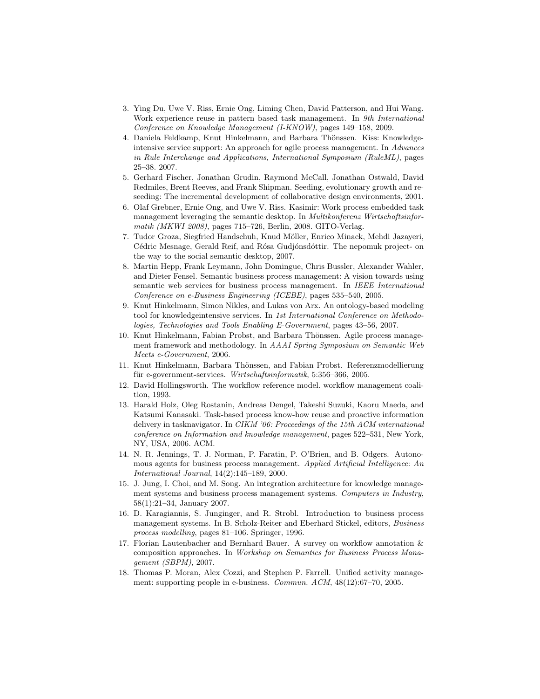- 3. Ying Du, Uwe V. Riss, Ernie Ong, Liming Chen, David Patterson, and Hui Wang. Work experience reuse in pattern based task management. In 9th International Conference on Knowledge Management (I-KNOW), pages 149–158, 2009.
- 4. Daniela Feldkamp, Knut Hinkelmann, and Barbara Thönssen. Kiss: Knowledgeintensive service support: An approach for agile process management. In Advances in Rule Interchange and Applications, International Symposium (RuleML), pages 25–38. 2007.
- 5. Gerhard Fischer, Jonathan Grudin, Raymond McCall, Jonathan Ostwald, David Redmiles, Brent Reeves, and Frank Shipman. Seeding, evolutionary growth and reseeding: The incremental development of collaborative design environments, 2001.
- 6. Olaf Grebner, Ernie Ong, and Uwe V. Riss. Kasimir: Work process embedded task management leveraging the semantic desktop. In *Multikonferenz Wirtschaftsinfor*matik (MKWI 2008), pages 715–726, Berlin, 2008. GITO-Verlag.
- 7. Tudor Groza, Siegfried Handschuh, Knud Möller, Enrico Minack, Mehdi Jazayeri, Cédric Mesnage, Gerald Reif, and Rósa Gudjónsdóttir. The nepomuk project- on the way to the social semantic desktop, 2007.
- 8. Martin Hepp, Frank Leymann, John Domingue, Chris Bussler, Alexander Wahler, and Dieter Fensel. Semantic business process management: A vision towards using semantic web services for business process management. In IEEE International Conference on e-Business Engineering (ICEBE), pages 535–540, 2005.
- 9. Knut Hinkelmann, Simon Nikles, and Lukas von Arx. An ontology-based modeling tool for knowledgeintensive services. In 1st International Conference on Methodologies, Technologies and Tools Enabling E-Government, pages 43–56, 2007.
- 10. Knut Hinkelmann, Fabian Probst, and Barbara Thönssen. Agile process management framework and methodology. In AAAI Spring Symposium on Semantic Web Meets e-Government, 2006.
- 11. Knut Hinkelmann, Barbara Thönssen, and Fabian Probst. Referenzmodellierung für e-government-services. Wirtschaftsinformatik, 5:356-366, 2005.
- 12. David Hollingsworth. The workflow reference model. workflow management coalition, 1993.
- 13. Harald Holz, Oleg Rostanin, Andreas Dengel, Takeshi Suzuki, Kaoru Maeda, and Katsumi Kanasaki. Task-based process know-how reuse and proactive information delivery in tasknavigator. In CIKM '06: Proceedings of the 15th ACM international conference on Information and knowledge management, pages 522–531, New York, NY, USA, 2006. ACM.
- 14. N. R. Jennings, T. J. Norman, P. Faratin, P. O'Brien, and B. Odgers. Autonomous agents for business process management. Applied Artificial Intelligence: An International Journal, 14(2):145–189, 2000.
- 15. J. Jung, I. Choi, and M. Song. An integration architecture for knowledge management systems and business process management systems. Computers in Industry, 58(1):21–34, January 2007.
- 16. D. Karagiannis, S. Junginger, and R. Strobl. Introduction to business process management systems. In B. Scholz-Reiter and Eberhard Stickel, editors, Business process modelling, pages 81–106. Springer, 1996.
- 17. Florian Lautenbacher and Bernhard Bauer. A survey on workflow annotation & composition approaches. In Workshop on Semantics for Business Process Management (SBPM), 2007.
- 18. Thomas P. Moran, Alex Cozzi, and Stephen P. Farrell. Unified activity management: supporting people in e-business. Commun. ACM, 48(12):67–70, 2005.